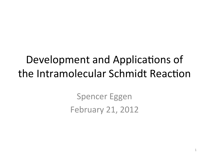#### Development and Applications of the Intramolecular Schmidt Reaction

**Spencer Eggen February 21, 2012**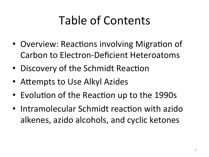# Table of Contents

- Overview: Reactions involving Migration of **Carbon to Electron-Deficient Heteroatoms**
- Discovery of the Schmidt Reaction
- Attempts to Use Alkyl Azides
- Evolution of the Reaction up to the 1990s
- Intramolecular Schmidt reaction with azido alkenes, azido alcohols, and cyclic ketones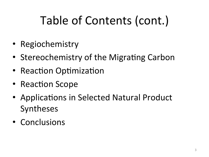# Table of Contents (cont.)

- Regiochemistry
- Stereochemistry of the Migrating Carbon
- Reaction Optimization
- Reaction Scope
- Applications in Selected Natural Product Syntheses
- Conclusions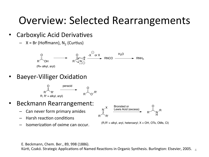#### Overview: Selected Rearrangements

- Carboxylic Acid Derivatives
	- $X = Br(Hoffmann), N<sub>2</sub> (Curtius)$



**Baeyer-Villiger Oxidation** 



- Beckmann Rearrangement:
	- $-$  Can never form primary amides
	- **Harsh reaction conditions**
	- Isomerization of oxime can occur.



 $(R,R' = alkyl, aryI, heteroaryI; X = OH, OTs, OMs, Cl)$ 

E. Beckmann, Chem. Ber., 89, 998 (1886).

Kürti, Czakó. Strategic Applications of Named Reactions in Organic Synthesis. Burlington: Elsevier, 2005.  $\frac{1}{4}$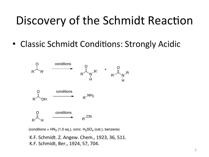## Discovery of the Schmidt Reaction

• Classic Schmidt Conditions: Strongly Acidic



(conditions =  $HN<sub>3</sub>$  (1.0 eq.), conc.  $H<sub>2</sub>SO<sub>4</sub>$  (cat.), benzene)

K.F. Schmidt. Z. Angew. Chem., 1923, 36, 511. K.F. Schmidt, Ber., 1924, 57, 704.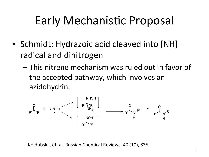## **Early Mechanistic Proposal**

- Schmidt: Hydrazoic acid cleaved into [NH] radical and dinitrogen
	- This nitrene mechanism was ruled out in favor of the accepted pathway, which involves an azidohydrin.



Koldobskii, et. al. Russian Chemical Reviews, 40 (10), 835.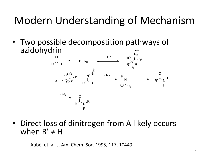#### Modern Understanding of Mechanism

• Two possible decompostition pathways of azidohydrin



• Direct loss of dinitrogen from A likely occurs when  $R' \neq H$ 

Aubé, et. al. J. Am. Chem. Soc. 1995, 117, 10449.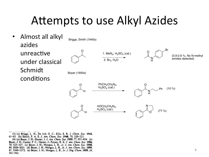#### Attempts to use Alkyl Azides

Almost all alkyl  $\bullet$ Briggs, Smith (1940s) azides unreactive 1. MeN<sub>3</sub>,  $H_2SO_4$  (cat.) (0.9-2.6 %, No N-methvl amides detected)  $2.$  Br<sub>2</sub>, H<sub>2</sub>O under classical Schmidt Boyer (1950s) conditions  $PhCH<sub>2</sub>CH<sub>2</sub>N<sub>3</sub>$  $H<sub>2</sub>SO<sub>4</sub>$  (cat.)  $(10\%)$ 



(3) (a) Briggs, L. H.; De Ath, G. C.; Ellis, S. R. J. Chem. Soc. 1942, 61-63. (b) Smith, P. A. S. J. Am. Chem. Soc. 1948, 70, 320-323. (4) (a) Boyer, J. H.; Hamer, J. J. Am. Chem. Soc. 1955, 77, 951-954. (b) Boyer, J. H.; Canter, F. C.; Hamer, J.; Putney, R. K. J. Am. Chem. Soc. 1956, 78, 325-327. (c) Boyer, J. H.; Morgan, L. R., Jr. J. Am. Chem. Soc. 1958, 80, 2020–2021. (d) Boyer, J. H.; Morgan, L. R., Jr. J. Am. Chem. Soc. 1959, 81, 3369–3372. (e) Boyer, J. H.; Morgan, L. R., Jr. J. Org. Chem. 1959, 24, 561-562.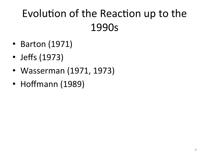#### Evolution of the Reaction up to the 1990s

- Barton (1971)
- Jeffs (1973)
- Wasserman (1971, 1973)
- Hoffmann (1989)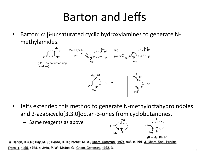#### Barton and Jeffs

Barton:  $\alpha$ , $\beta$ -unsaturated cyclic hydroxylamines to generate Nmethylamides.\*



- Jeffs extended this method to generate N-methyloctahydroindoles and 2-azabicyclo[3.3.0]octan-3-ones from cyclobutanones.
	- $-$  Same reagents as above N Me <sub>Me</sub> H  $\Omega$ N O Me R H  $(R = Me, Ph, H)$

a. Barton, D.H.R.; Day, M. J.; Hesse, R. H.; Pechet, M. M., Chem. Commun., 1971, 945. b. ibid., J. Chem. Soc., Perkins Trans. 1, 1975, 1764. c. Jeffs, P. W.; Molina, G., Chem. Commun., 1973, 3.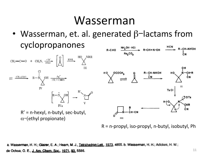#### Wasserman\*

• Wasserman, et. al. generated  $\beta$ -lactams from cyclopropanones



 $R = n$ -propyl, iso-propyl, n-butyl, isobutyl, Ph

a. Wasserman, H. H.; Glazer, E. A.; Hearn, M. J., Tetrahedron Lett., 1973, 4855. b. Wasserman, H. H.; Adickes, H. W.; de Ochoa, O. E., J. Am. Chem. Soc., 1971, 93, 5586.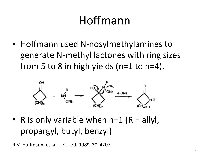# Hoffmann

• Hoffmann used N-nosylmethylamines to generate N-methyl lactones with ring sizes from 5 to 8 in high yields  $(n=1$  to  $n=4)$ .



• R is only variable when  $n=1$  (R = allyl, propargyl, butyl, benzyl)

R.V. Hoffmann, et. al. Tet. Lett. 1989, 30, 4207.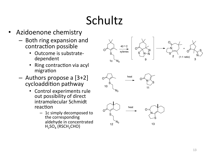# Schultz\*

- Azidoenone chemistry
	- $-$  Both ring expansion and contraction possible
		- Outcome is substratedependent\*
		- Ring contraction via acyl migration
	- $-$  Authors propose a [3+2] cycloaddition pathway
		- Control experiments rule out possibility of direct intramolecular Schmidt reaction
			- $-$  1c simply decomposed to the corresponding aldehyde in concentrated  $H_2SO_4$  (RSCH<sub>2</sub>CHO)

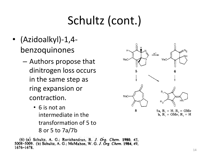# Schultz (cont.)

- (Azidoalkyl)-1,4benzoquinones
	- Authors propose that dinitrogen loss occurs in the same step as ring expansion or contraction.
		- $\bullet$  6 is not an intermediate in the transformation of 5 to 8 or 5 to 7a/7b

(6) (a) Schultz, A. G.; Ravichandran, R. J. Org. Chem. 1980, 45, 5008-5009. (b) Schultz, A. G.; McMahon, W. G. J. Org. Chem. 1984, 49,  $1676 - 1678.$ 

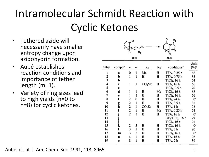## Intramolecular Schmidt Reaction with **Cyclic Ketones**

- Tethered azide will necessarily have smaller entropy change upon azidohydrin formation.
- Aubé establishes  $\bullet$ reaction conditions and importance of tether length  $(m=1)$ .
- Variety of ring sizes lead to high yields (n=0 to n=8) for cyclic ketones.



| entry | compd <sup>a</sup> | n | m | R1                 | $R_2$ | conditions <sup>b</sup>         | yield<br>$(\%)^c$ |
|-------|--------------------|---|---|--------------------|-------|---------------------------------|-------------------|
|       |                    |   |   |                    |       |                                 |                   |
| 1     | a                  | 0 | ı | Me                 | н     | TFA, 0.25 h                     | 66                |
| 2     | þ                  | 1 | 1 | н                  | Н     | TFA, 0.75 h                     | 83                |
| 3     | b                  |   |   |                    |       | TiCl <sub>4</sub> , 16 h        | 64                |
| 4     | c                  | 1 | 1 | CO <sub>2</sub> Me | н     | TFA, 16 h                       | 66                |
| 5     | c                  |   |   |                    |       | TiCl <sub>4</sub> , 0.5 h       | 70                |
| 6     | d                  | 1 | 1 | н                  | Me    | TiCl <sub>4</sub> , 16 h        | 68                |
| 7     | e                  | 1 | 2 | н                  | Н     | TiCl <sub>4</sub> , 16 h        | 56                |
| 8     | f                  | 2 | 0 | Н                  | н     | TFA, 24 h                       | 0 <sup>d</sup>    |
| 9     | g                  | 2 | ı | н                  | н     | TFA, 3.5 h                      | 85                |
| 10    | h                  | 2 | ı | CO <sub>2</sub> Et | н     | TFA, 1 h                        | 93                |
| 11    | i                  | 2 | 1 | н                  | Me    | TFA, 0.25 h                     | 74                |
| 12    |                    | 2 | 2 | н                  | H     | TFA, 16 h                       | 0 <sup>d</sup>    |
| 13    |                    |   |   |                    |       | $BF_3$ ·OEt <sub>2</sub> , 16 h | 29                |
| 14    |                    |   |   |                    |       | TiCl <sub>4</sub> , 16 h        | 91                |
| 15    | k                  | 2 | 3 | н                  | н     | TiCl <sub>4</sub> , 16 h        | $0^d$             |
| 16    | ı                  | 3 | ı | н                  | н     | TFA, 3h                         | 80                |
| 17    | m                  | 3 | 2 | н                  | н     | TiCl <sub>4</sub> , 16 h        | $0^d$             |
| 18    | n                  | 4 | l | н                  | н     | TFA, 16 h                       | 96                |
| 19    | 0                  | 8 |   | н                  | н     | TFA, 2 h                        | 89                |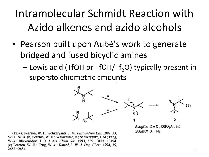#### Intramolecular Schmidt Reaction with Azido alkenes and azido alcohols

- Pearson built upon Aubé's work to generate bridged and fused bicyclic amines
	- $-$  Lewis acid (TfOH or TfOH/Tf<sub>2</sub>O) typically present in superstoichiometric amounts



Schmidt:  $X = N_2^+$ 

(12) (a) Pearson, W. H.; Schkeryantz, J. M. Tetrahedron Lett. 1992, 33, 5291-5294. (b) Pearson, W. H.; Walavalkar, R.; Schkeryantz, J. M.; Fang, W.-k.; Blickensdorf, J. D. J. Am. Chem. Soc. 1993, 115, 10183-10194. (c) Pearson, W. H.; Fang, W.-k.; Kampf, J. W. J. Org. Chem. 1994, 59,  $2682 - 2684.$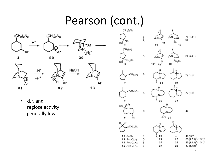#### Pearson (cont.)

Ar

13



ΔN

31

E

Ar





d.r. and  $\bullet$ regioselectivity generally low



17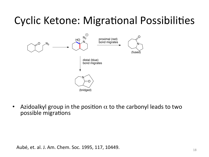#### **Cyclic Ketone: Migrational Possibilities**



Azidoalkyl group in the position  $\alpha$  to the carbonyl leads to two  $\bullet$ possible migrations

Aubé, et. al. J. Am. Chem. Soc. 1995, 117, 10449.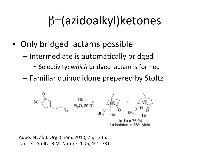# $\beta$  (azidoalkyl) ketones

- Only bridged lactams possible
	- Intermediate is automatically bridged
		- Selectivity: which bridged lactam is formed
	- Familiar quinuclidone prepared by Stoltz



Aubé, et. al. J. Org. Chem. 2010, 75, 1235. Tani, K.; Stoltz, B.M. Nature 2006, 441, 731.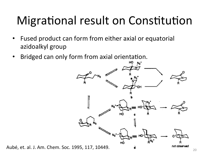# Migrational result on Constitution

- Fused product can form from either axial or equatorial  $\bullet$ azidoalkyl group
- Bridged can only form from axial orientation.  $\bullet$



Aubé, et. al. J. Am. Chem. Soc. 1995, 117, 10449.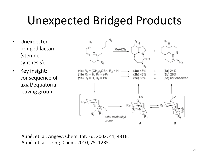## Unexpected Bridged Products

- Unexpected bridged lactam (stenine synthesis).\*
- Key insight: consequence of axial/equatorial\* leaving group



Aubé, et. al. Angew. Chem. Int. Ed. 2002, 41, 4316. Aubé, et. al. J. Org. Chem. 2010, 75, 1235.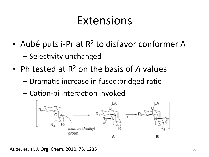#### Extensions

- Aubé puts i-Pr at  $R^2$  to disfavor conformer A - Selectivity unchanged
- Ph tested at  $R^2$  on the basis of A values
	- Dramatic increase in fused: bridged ratio
	- Cation-pi interaction invoked



Aubé, et. al. J. Org. Chem. 2010, 75, 1235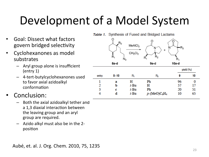## Development of a Model System

- **Goal: Dissect what factors** govern bridged selectivity
- Cyclohexanones as model substrates
	- Aryl group alone is insufficient  $(entry 1)$
	- 4-tert-butylcyclohexanones used to favor axial azidoalkyl conformation
- Conclusion:
	- Both the axial azidoalkyl tether and a 1,3 diaxial interaction between the leaving group and an aryl group are required.
	- Azido alkyl must also be in the 2position

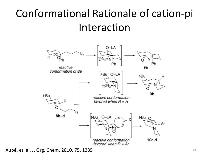#### Conformational Rationale of cation-pi Interaction



Aubé, et. al. J. Org. Chem. 2010, 75, 1235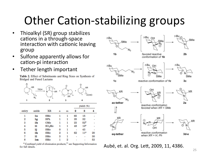## **Other Cation-stabilizing groups**

- Thioalkyl (SR) group stabilizes  $\bullet$ cations in a through-space interaction with cationic leaving group
- Sulfone apparently allows for  $\bullet$ cation-pi interaction
- Tether length important  $\bullet$

Table 2. Effect of Substituents and Ring Sizes on Synthesis of **Bridged and Fused Lactams** 



|       |       |                    |   |                  |    | yield $(\%)$    |    |  |
|-------|-------|--------------------|---|------------------|----|-----------------|----|--|
| entry | azide | XR                 | n | $\boldsymbol{m}$ | 2  | 3               |    |  |
| 1     | 1a    | SMe                | 1 | 1                | 65 | 15              |    |  |
| 2     | 1g    | SPh                | 1 | 1                | 35 | 32              |    |  |
| 3     | 1h    | OMe                | 1 | 1                | 23 | $52^a$          |    |  |
| 4     | 11    | SO <sub>2</sub> Me | 1 | 1                | 48 | 13 <sup>a</sup> |    |  |
| 5     | 1j    | SMe                | 0 | 1                |    | 43              |    |  |
| 6     | 1k    | SMe                | 2 | 1                | 62 | 11 <sup>a</sup> | 20 |  |
| 7     | 11    | SMe                | 3 | 1                |    |                 | 30 |  |
| 8     | 1m    | SMe                | 1 | 2                |    |                 | 53 |  |

 $a$  Combined yield of elimination products;<sup>11</sup> see Supporting Information for full details.



Aubé, et. al. Org. Lett, 2009, 11, 4386.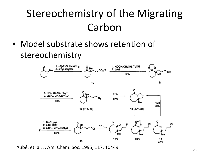#### **Stereochemistry of the Migrating** Carbon

• Model substrate shows retention of stereochemistry



Aubé, et. al. J. Am. Chem. Soc. 1995, 117, 10449.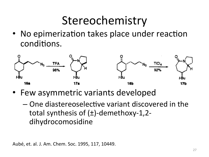## Stereochemistry

• No epimerization takes place under reaction conditions.



- Few asymmetric variants developed
	- One diastereoselective variant discovered in the total synthesis of  $(\pm)$ -demethoxy-1,2dihydrocomosidine

Aubé, et. al. J. Am. Chem. Soc. 1995, 117, 10449.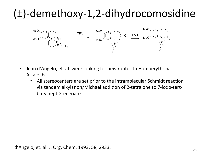## $(\pm)$ -demethoxy-1,2-dihydrocomosidine



- Jean d'Angelo, et. al. were looking for new routes to Homoerythrina  $\bullet$ Alkaloids
	- All stereocenters are set prior to the intramolecular Schmidt reaction via tandem alkylation/Michael addition of 2-tetralone to 7-iodo-tertbutylhept-2-eneoate

d'Angelo, et. al. J. Org. Chem. 1993, 58, 2933.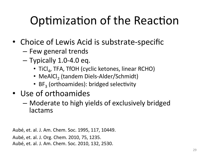# Optimization of the Reaction

- Choice of Lewis Acid is substrate-specific
	- $-$  Few general trends
	- $-$  Typically 1.0-4.0 eq.
		- TiCl<sub>a</sub>, TFA, TfOH (cyclic ketones, linear RCHO)
		- MeAlCl<sub>2</sub> (tandem Diels-Alder/Schmidt)
		- BF<sub>3</sub> (orthoamides): bridged selectivity
- Use of orthoamides
	- $-$  Moderate to high yields of exclusively bridged lactams\*

Aubé, et. al. J. Am. Chem. Soc. 1995, 117, 10449.

Aubé, et. al. J. Org. Chem. 2010, 75, 1235.

Aubé, et. al. J. Am. Chem. Soc. 2010, 132, 2530.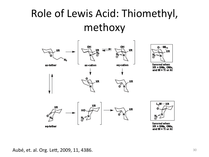#### Role of Lewis Acid: Thiomethyl, methoxy



0- - ML<sub>n</sub>

favored when XR = SMe, OMe, and M = Ti or Al



favored when  $XR = SMe, OMe,$ and M = Ti or Al

Aubé, et. al. Org. Lett, 2009, 11, 4386.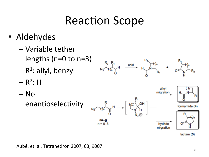## **Reaction Scope**

- Aldehydes  $\bullet$ 
	- Variable tether lengths ( $n=0$  to  $n=3$ )
	- $R<sup>1</sup>$ : allyl, benzyl
	- $R^2$ : H







Aubé, et. al. Tetrahedron 2007, 63, 9007.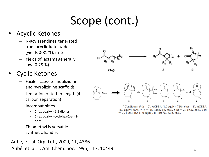# Scope (cont.)

#### **Acyclic Ketones**

- N-acylazetidines generated from acyclic keto azides (yields 0-81 %), m=2
- Yields of lactams generally low  $(0-29%)$

#### **Cyclic Ketones**

- Facile access to indolizidine and pyrrolizidine scaffolds
- Limitation of tether length (4carbon separation)
- Incompatibities
	- 2-(azidoalkyl)-1,3-diones
	- 2-(azidoalkyl)-cyclohex-2-en-1ones
- Thiomethyl is versatile synthetic handle.

Aubé, et. al. Org. Lett, 2009, 11, 4386. Aubé, et. al. J. Am. Chem. Soc. 1995, 117, 10449.



5



 $\overline{7}$ 

8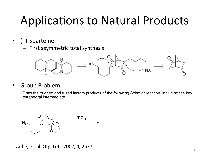## **Applications to Natural Products**

- $(+)$ -Sparteine  $\bullet$ 
	- First asymmetric total synthesis



**Group Problem:**  $\bullet$ 

> Draw the bridged and fused lactam products of the following Schmidt reaction, including the key tetrahedral intermediate.



Aubé, et. al. Org. Lett. 2002, 4, 2577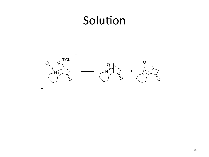#### Solution

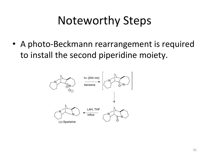## **Noteworthy Steps**

• A photo-Beckmann rearrangement is required to install the second piperidine moiety.

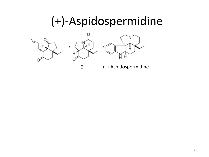#### (+)-Aspidospermidine

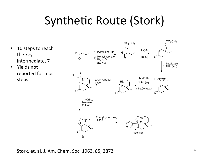## Synthetic Route (Stork)

- 10 steps to reach the key intermediate, 7
- Yields not reported for most steps\*



Stork, et. al. J. Am. Chem. Soc. 1963, 85, 2872.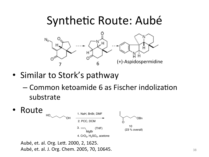#### Synthetic Route: Aubé



- Similar to Stork's pathway
	- $-$  Common ketoamide 6 as Fischer indolization substrate\*



Aubé, et. al. Org. Lett. 2000, 2, 1625. Aubé, et. al. J. Org. Chem. 2005, 70, 10645.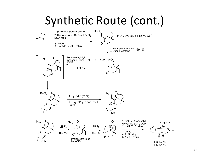## Synthetic Route (cont.)

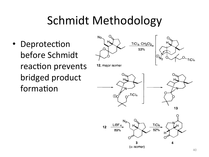## **Schmidt Methodology**

• Deprotection before Schmidt reaction prevents bridged product formation

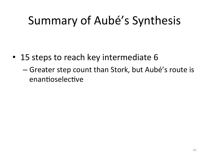## Summary of Aubé's Synthesis

- 15 steps to reach key intermediate 6
	- Greater step count than Stork, but Aubé's route is enantioselective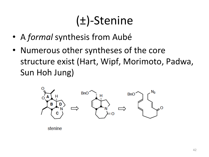# $(\pm)$ -Stenine

- A *formal* synthesis from Aubé
- Numerous other syntheses of the core structure exist (Hart, Wipf, Morimoto, Padwa, Sun Hoh Jung)



stenine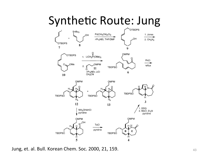#### **Synthetic Route: Jung**



Jung, et. al. Bull. Korean Chem. Soc. 2000, 21, 159.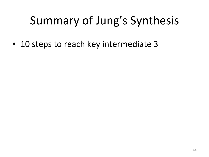# Summary of Jung's Synthesis

• 10 steps to reach key intermediate 3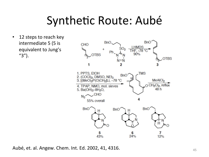## Synthetic Route: Aubé

12 steps to reach key  $\bullet$ intermediate 5 (5 is equivalent to Jung's " $3"$ ).



Aubé, et. al. Angew. Chem. Int. Ed. 2002, 41, 4316.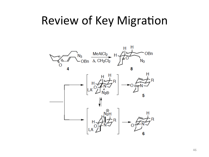#### **Review of Key Migration**

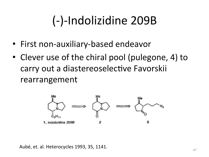# (-)-Indolizidine 209B

- First non-auxiliary-based endeavor
- Clever use of the chiral pool (pulegone, 4) to carry out a diastereoselective Favorskii rearrangement



Aubé, et. al. Heterocycles 1993, 35, 1141.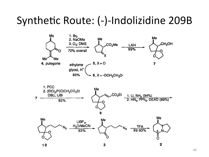#### Synthetic Route: (-)-Indolizidine 209B